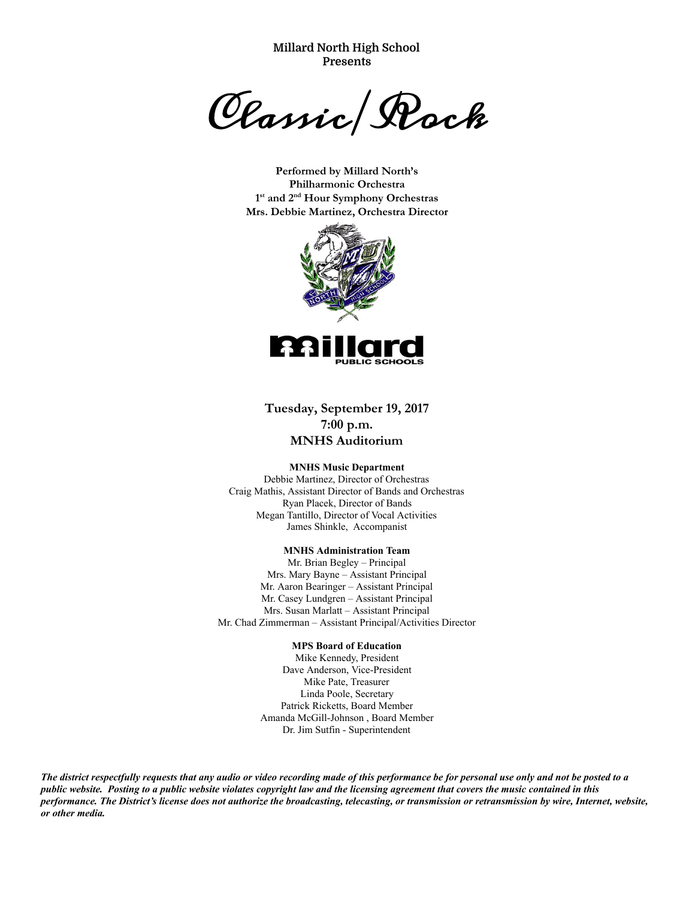**Millard North High School Presents**

Classic/Rock

**Performed by Millard North's Philharmonic Orchestra 1st and 2nd Hour Symphony Orchestras Mrs. Debbie Martinez, Orchestra Director**



## **Tuesday, September 19, 2017 7:00 p.m. MNHS Auditorium**

## **MNHS Music Department**

Debbie Martinez, Director of Orchestras Craig Mathis, Assistant Director of Bands and Orchestras Ryan Placek, Director of Bands Megan Tantillo, Director of Vocal Activities James Shinkle, Accompanist

## **MNHS Administration Team**

Mr. Brian Begley – Principal Mrs. Mary Bayne - Assistant Principal Mr. Aaron Bearinger - Assistant Principal Mr. Casey Lundgren - Assistant Principal Mrs. Susan Marlatt - Assistant Principal Mr. Chad Zimmerman – Assistant Principal/Activities Director

## **MPS Board of Education**

Mike Kennedy, President Dave Anderson, Vice-President Mike Pate, Treasurer Linda Poole, Secretary Patrick Ricketts, Board Member Amanda McGill-Johnson, Board Member Dr. Jim Sutfin - Superintendent

*The district respectfully requests that any audio or video recording made of this performance be for personal use only and not be posted to a public website. Posting to a public website violates copyright law and the licensing agreement that covers the music contained in this performance. The District's license does not authorize the broadcasting, telecasting, or transmission or retransmission by wire, Internet, website, or other media.*